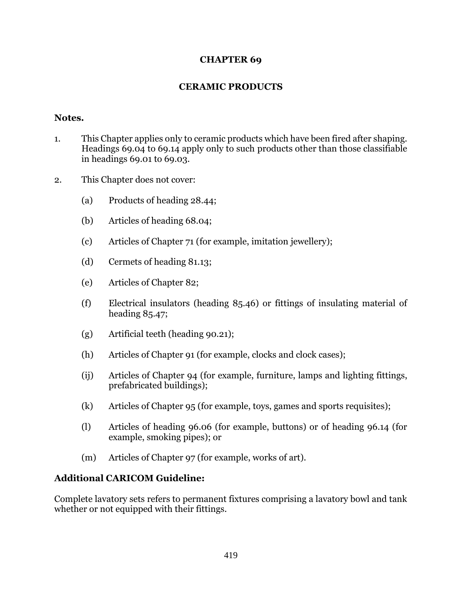## **CHAPTER 69**

## **CERAMIC PRODUCTS**

## **Notes.**

- 1. This Chapter applies only to ceramic products which have been fired after shaping. Headings 69.04 to 69.14 apply only to such products other than those classifiable in headings 69.01 to 69.03.
- 2. This Chapter does not cover:
	- (a) Products of heading 28.44;
	- (b) Articles of heading 68.04;
	- (c) Articles of Chapter 71 (for example, imitation jewellery);
	- (d) Cermets of heading 81.13;
	- (e) Articles of Chapter 82;
	- (f) Electrical insulators (heading 85.46) or fittings of insulating material of heading 85.47;
	- (g) Artificial teeth (heading 90.21);
	- (h) Articles of Chapter 91 (for example, clocks and clock cases);
	- (ij) Articles of Chapter 94 (for example, furniture, lamps and lighting fittings, prefabricated buildings);
	- (k) Articles of Chapter 95 (for example, toys, games and sports requisites);
	- (l) Articles of heading 96.06 (for example, buttons) or of heading 96.14 (for example, smoking pipes); or
	- (m) Articles of Chapter 97 (for example, works of art).

## **Additional CARICOM Guideline:**

Complete lavatory sets refers to permanent fixtures comprising a lavatory bowl and tank whether or not equipped with their fittings.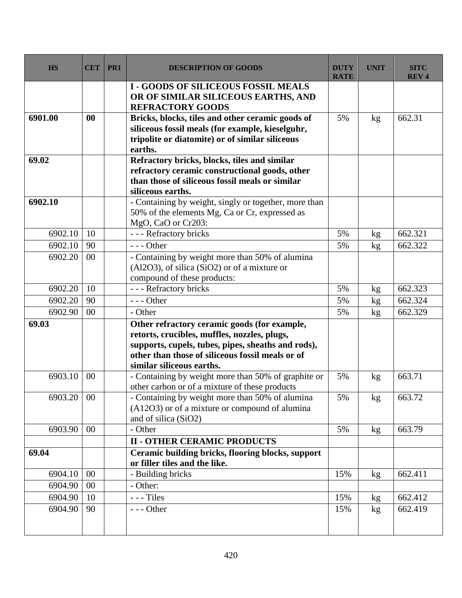| <b>HS</b> | <b>CET</b> | PR1 | <b>DESCRIPTION OF GOODS</b>                                                                                                                                                                                                         | <b>DUTY</b><br><b>RATE</b> | <b>UNIT</b> | <b>SITC</b><br><b>REV4</b> |
|-----------|------------|-----|-------------------------------------------------------------------------------------------------------------------------------------------------------------------------------------------------------------------------------------|----------------------------|-------------|----------------------------|
|           |            |     | <b>I - GOODS OF SILICEOUS FOSSIL MEALS</b><br>OR OF SIMILAR SILICEOUS EARTHS, AND<br><b>REFRACTORY GOODS</b>                                                                                                                        |                            |             |                            |
| 6901.00   | 00         |     | Bricks, blocks, tiles and other ceramic goods of<br>siliceous fossil meals (for example, kieselguhr,<br>tripolite or diatomite) or of similar siliceous<br>earths.                                                                  | 5%                         | kg          | 662.31                     |
| 69.02     |            |     | Refractory bricks, blocks, tiles and similar<br>refractory ceramic constructional goods, other<br>than those of siliceous fossil meals or similar<br>siliceous earths.                                                              |                            |             |                            |
| 6902.10   |            |     | - Containing by weight, singly or together, more than<br>50% of the elements Mg, Ca or Cr, expressed as<br>MgO, CaO or Cr203:                                                                                                       |                            |             |                            |
| 6902.10   | 10         |     | - - - Refractory bricks                                                                                                                                                                                                             | 5%                         | kg          | 662.321                    |
| 6902.10   | 90         |     | $--$ Other                                                                                                                                                                                                                          | 5%                         | kg          | 662.322                    |
| 6902.20   | 00         |     | - Containing by weight more than 50% of alumina<br>$(A12O3)$ , of silica $(SiO2)$ or of a mixture or<br>compound of these products:                                                                                                 |                            |             |                            |
| 6902.20   | 10         |     | - - - Refractory bricks                                                                                                                                                                                                             | 5%                         | kg          | 662.323                    |
| 6902.20   | 90         |     | $--$ Other                                                                                                                                                                                                                          | 5%                         | kg          | 662.324                    |
| 6902.90   | $00\,$     |     | - Other                                                                                                                                                                                                                             | 5%                         | kg          | 662.329                    |
| 69.03     |            |     | Other refractory ceramic goods (for example,<br>retorts, crucibles, muffles, nozzles, plugs,<br>supports, cupels, tubes, pipes, sheaths and rods),<br>other than those of siliceous fossil meals or of<br>similar siliceous earths. |                            |             |                            |
| 6903.10   | 00         |     | - Containing by weight more than 50% of graphite or<br>other carbon or of a mixture of these products                                                                                                                               | 5%                         | kg          | 663.71                     |
| 6903.20   | $00\,$     |     | - Containing by weight more than 50% of alumina<br>(A12O3) or of a mixture or compound of alumina<br>and of silica (SiO2)                                                                                                           | 5%                         | kg          | 663.72                     |
| 6903.90   | 00         |     | - Other                                                                                                                                                                                                                             | 5%                         | kg          | 663.79                     |
|           |            |     | <b>II - OTHER CERAMIC PRODUCTS</b>                                                                                                                                                                                                  |                            |             |                            |
| 69.04     |            |     | Ceramic building bricks, flooring blocks, support<br>or filler tiles and the like.                                                                                                                                                  |                            |             |                            |
| 6904.10   | 00         |     | - Building bricks                                                                                                                                                                                                                   | 15%                        | kg          | 662.411                    |
| 6904.90   | 00         |     | - Other:                                                                                                                                                                                                                            |                            |             |                            |
| 6904.90   | 10         |     | $---$ Tiles                                                                                                                                                                                                                         | 15%                        | kg          | 662.412                    |
| 6904.90   | 90         |     | $--$ Other                                                                                                                                                                                                                          | 15%                        | kg          | 662.419                    |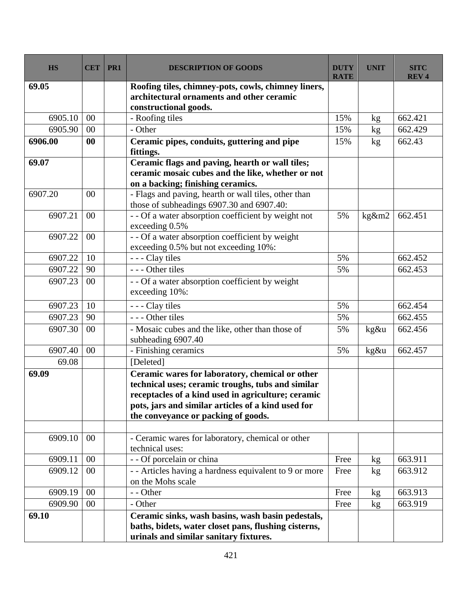| <b>HS</b> | <b>CET</b> | PR1 | <b>DESCRIPTION OF GOODS</b>                                                                                                                                                                                                                             | <b>DUTY</b><br><b>RATE</b> | <b>UNIT</b> | <b>SITC</b><br><b>REV4</b> |
|-----------|------------|-----|---------------------------------------------------------------------------------------------------------------------------------------------------------------------------------------------------------------------------------------------------------|----------------------------|-------------|----------------------------|
| 69.05     |            |     | Roofing tiles, chimney-pots, cowls, chimney liners,<br>architectural ornaments and other ceramic<br>constructional goods.                                                                                                                               |                            |             |                            |
| 6905.10   | 00         |     | - Roofing tiles                                                                                                                                                                                                                                         | 15%                        | kg          | 662.421                    |
| 6905.90   | 00         |     | - Other                                                                                                                                                                                                                                                 | 15%                        | kg          | 662.429                    |
| 6906.00   | $\bf{00}$  |     | Ceramic pipes, conduits, guttering and pipe<br>fittings.                                                                                                                                                                                                | 15%                        | kg          | 662.43                     |
| 69.07     |            |     | Ceramic flags and paving, hearth or wall tiles;<br>ceramic mosaic cubes and the like, whether or not<br>on a backing; finishing ceramics.                                                                                                               |                            |             |                            |
| 6907.20   | 00         |     | - Flags and paving, hearth or wall tiles, other than<br>those of subheadings 6907.30 and 6907.40:                                                                                                                                                       |                            |             |                            |
| 6907.21   | 00         |     | - - Of a water absorption coefficient by weight not<br>exceeding 0.5%                                                                                                                                                                                   | 5%                         | $kg\&m2$    | 662.451                    |
| 6907.22   | 00         |     | - - Of a water absorption coefficient by weight<br>exceeding 0.5% but not exceeding 10%:                                                                                                                                                                |                            |             |                            |
| 6907.22   | 10         |     | - - - Clay tiles                                                                                                                                                                                                                                        | 5%                         |             | 662.452                    |
| 6907.22   | 90         |     | --- Other tiles                                                                                                                                                                                                                                         | 5%                         |             | 662.453                    |
| 6907.23   | 00         |     | - - Of a water absorption coefficient by weight<br>exceeding 10%:                                                                                                                                                                                       |                            |             |                            |
| 6907.23   | 10         |     | - - - Clay tiles                                                                                                                                                                                                                                        | 5%                         |             | 662.454                    |
| 6907.23   | 90         |     | - - - Other tiles                                                                                                                                                                                                                                       | 5%                         |             | 662.455                    |
| 6907.30   | 00         |     | - Mosaic cubes and the like, other than those of<br>subheading 6907.40                                                                                                                                                                                  | 5%                         | kg&u        | 662.456                    |
| 6907.40   | 00         |     | - Finishing ceramics                                                                                                                                                                                                                                    | 5%                         | kg&u        | 662.457                    |
| 69.08     |            |     | [Deleted]                                                                                                                                                                                                                                               |                            |             |                            |
| 69.09     |            |     | Ceramic wares for laboratory, chemical or other<br>technical uses; ceramic troughs, tubs and similar<br>receptacles of a kind used in agriculture; ceramic<br>pots, jars and similar articles of a kind used for<br>the conveyance or packing of goods. |                            |             |                            |
| 6909.10   | $00\,$     |     | - Ceramic wares for laboratory, chemical or other<br>technical uses:                                                                                                                                                                                    |                            |             |                            |
| 6909.11   | 00         |     | - - Of porcelain or china                                                                                                                                                                                                                               | Free                       | kg          | 663.911                    |
| 6909.12   | 00         |     | - - Articles having a hardness equivalent to 9 or more<br>on the Mohs scale                                                                                                                                                                             | Free                       | kg          | 663.912                    |
| 6909.19   | 00         |     | - - Other                                                                                                                                                                                                                                               | Free                       | kg          | 663.913                    |
| 6909.90   | 00         |     | - Other                                                                                                                                                                                                                                                 | Free                       | kg          | 663.919                    |
| 69.10     |            |     | Ceramic sinks, wash basins, wash basin pedestals,<br>baths, bidets, water closet pans, flushing cisterns,<br>urinals and similar sanitary fixtures.                                                                                                     |                            |             |                            |